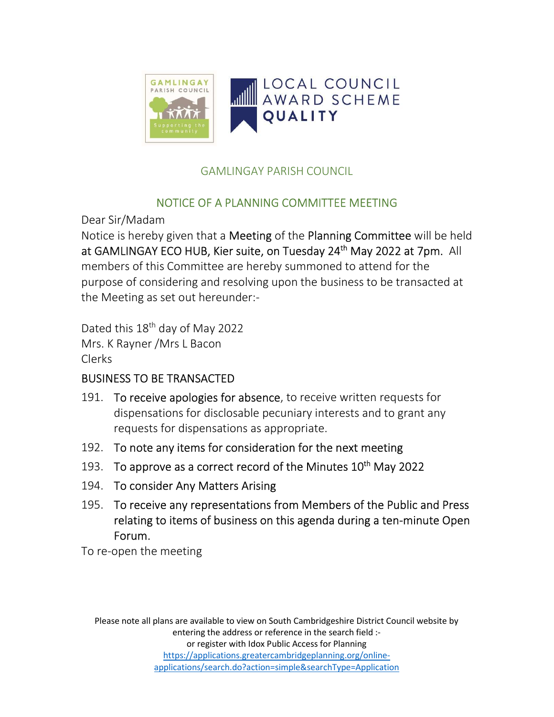

## GAMLINGAY PARISH COUNCIL

# NOTICE OF A PLANNING COMMITTEE MEETING

Dear Sir/Madam

Notice is hereby given that a Meeting of the Planning Committee will be held at GAMLINGAY ECO HUB, Kier suite, on Tuesday 24<sup>th</sup> May 2022 at 7pm. All members of this Committee are hereby summoned to attend for the purpose of considering and resolving upon the business to be transacted at the Meeting as set out hereunder:-

Dated this 18<sup>th</sup> day of May 2022 Mrs. K Rayner /Mrs L Bacon Clerks

# BUSINESS TO BE TRANSACTED

- 191. To receive apologies for absence, to receive written requests for dispensations for disclosable pecuniary interests and to grant any requests for dispensations as appropriate.
- 192. To note any items for consideration for the next meeting
- 193. To approve as a correct record of the Minutes  $10<sup>th</sup>$  May 2022
- 194. To consider Any Matters Arising
- 195. To receive any representations from Members of the Public and Press relating to items of business on this agenda during a ten-minute Open Forum.

To re-open the meeting

Please note all plans are available to view on South Cambridgeshire District Council website by entering the address or reference in the search field :or register with Idox Public Access for Planning https://applications.greatercambridgeplanning.org/onlineapplications/search.do?action=simple&searchType=Application